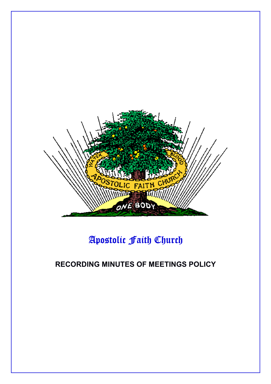

# Apostolic Faith Church

# **RECORDING MINUTES OF MEETINGS POLICY**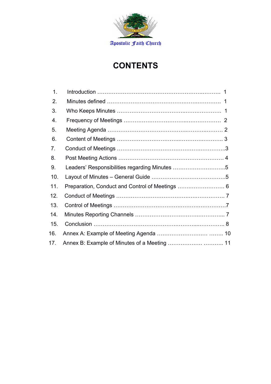

# **CONTENTS**

| 1.  |                                               |
|-----|-----------------------------------------------|
| 2.  |                                               |
| 3.  |                                               |
| 4.  |                                               |
| 5.  |                                               |
| 6.  |                                               |
| 7.  |                                               |
| 8.  |                                               |
| 9.  | Leaders' Responsibilities regarding Minutes 5 |
| 10. |                                               |
| 11. |                                               |
| 12. |                                               |
| 13. |                                               |
| 14. |                                               |
| 15. |                                               |
| 16. |                                               |
| 17. |                                               |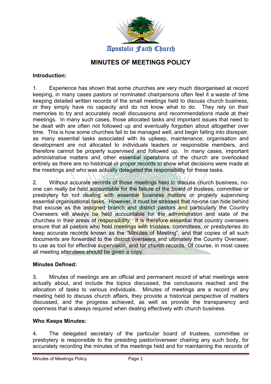

# **MINUTES OF MEETINGS POLICY**

#### **Introduction:**

1. Experience has shown that some churches are very much disorganised at record keeping, in many cases pastors or nominated chairpersons often feel it a waste of time keeping detailed written records of the small meetings held to discuss church business, or they simply have no capacity and do not know what to do. They rely on their memories to try and accurately recall discussions and recommendations made at their meetings. In many such cases, those allocated tasks and important issues that need to be dealt with are often not followed up and eventually forgotten about altogether over time. This is how some churches fail to be managed well, and begin falling into disrepair, as many essential tasks associated with its upkeep, maintenance; organisation and development are not allocated to individuals leaders or responsible members, and therefore cannot be properly supervised and followed up. In many cases, important administrative matters and other essential operations of the church are overlooked entirely as there are no historical or proper records to show what decisions were made at the meetings and who was actually delegated the responsibility for these tasks.

2. Without accurate records of those meetings held to discuss church business, noone can really be held accountable for the failure of the board of trustees, committee or presbytery for not dealing with essential business matters or properly supervising essential organisational tasks. However, it must be stressed that no-one can hide behind that excuse as the assigned branch and district pastors and particularly the Country Overseers will always be held accountable for the administration and state of the churches in their areas of responsibility. It is therefore essential that country overseers ensure that all pastors who hold meetings with trustees, committees, or presbyteries do keep accurate records known as the "Minutes of Meeting", and that copies of all such documents are forwarded to the district overseers and ultimately the Country Overseer, to use as tool for effective supervision, and for church records. Of course, in most cases all meeting attendees should be given a copy.

#### **Minutes Defined:**

3. Minutes of meetings are an official and permanent record of what meetings were actually about, and include the topics discussed, the conclusions reached and the allocation of tasks to various individuals. Minutes of meetings are a record of any meeting held to discuss church affairs, they provide a historical perspective of matters discussed, and the progress achieved, as well as provide the transparency and openness that is always required when dealing effectively with church business.

#### **Who Keeps Minutes:**

4. The delegated secretary of the particular board of trustees, committee or presbytery is responsible to the presiding pastor/overseer chairing any such body, for accurately recording the minutes of the meetings held and for maintaining the records of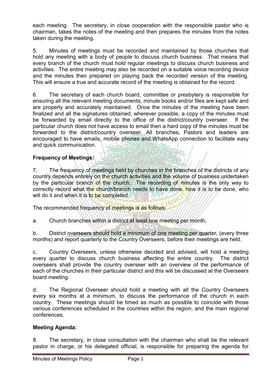each meeting. The secretary, in close cooperation with the responsible pastor who is chairman, takes the notes of the meeting and then prepares the minutes from the notes taken during the meeting.

5. Minutes of meetings must be recorded and maintained by those churches that hold any meeting with a body of people to discuss church business. That means that every branch of the church must hold regular meetings to discuss church business and activities. The entire meeting may also be recorded on a suitable voice recording device and the minutes then prepared on playing back the recorded version of the meeting. This will ensure a true and accurate record of the meeting is obtained for the record.

6. The secretary of each church board, committee or presbytery is responsible for ensuring all the relevant meeting documents, minute books and/or files are kept safe and are properly and accurately maintained. Once the minutes of the meeting have been finalized and all the signatures obtained, wherever possible, a copy of the minutes must be forwarded by email directly to the office of the district/country overseer. If the particular church does not have access to email then a hard copy of the minutes must be forwarded to the district/country overseer. All branches, Pastors and leaders are encouraged to have emails, mobile phones and WhatsApp connection to facilitate easy and quick communication.

# **Frequency of Meetings:**

7. The frequency of meetings held by churches in the branches of the districts of any country depends entirely on the church activities and the volume of business undertaken by the particular branch of the church. The recording of minutes is the only way to correctly record what the church/branch needs to have done, how it is to be done, who will do it and when it is to be completed.

The recommended frequency of meetings is as follows:

a. Church branches within a district at least one meeting per month,

b. District overseers should hold a minimum of one meeting per quarter, (every three months) and report quarterly to the Country Overseers, before their meetings are held.

c. Country Overseers, unless otherwise decided and advised, will hold a meeting every quarter to discuss church business affecting the entire country. The district overseers shall provide the country overseer with an overview of the performance of each of the churches in their particular district and this will be discussed at the Overseers board meeting.

d. The Regional Overseer should hold a meeting with all the Country Overseers every six months at a minimum, to discuss the performance of the church in each country. These meetings should be timed as much as possible to coincide with those various conferences scheduled in the countries within the region, and the main regional conferences.

#### **Meeting Agenda:**

8. The secretary, in close consultation with the chairman who shall be the relevant pastor in charge, or his delegated official, is responsible for preparing the agenda for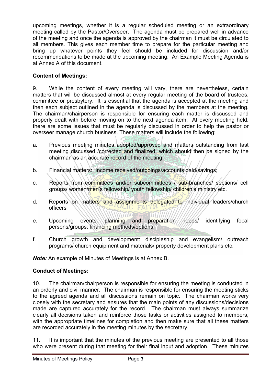upcoming meetings, whether it is a regular scheduled meeting or an extraordinary meeting called by the Pastor/Overseer. The agenda must be prepared well in advance of the meeting and once the agenda is approved by the chairman it must be circulated to all members. This gives each member time to prepare for the particular meeting and bring up whatever points they feel should be included for discussion and/or recommendations to be made at the upcoming meeting. An Example Meeting Agenda is at Annex A of this document.

### **Content of Meetings:**

9. While the content of every meeting will vary, there are nevertheless, certain matters that will be discussed almost at every regular meeting of the board of trustees, committee or presbytery. It is essential that the agenda is accepted at the meeting and then each subject outlined in the agenda is discussed by the members at the meeting. The chairman/chairperson is responsible for ensuring each matter is discussed and properly dealt with before moving on to the next agenda item. At every meeting held, there are some issues that must be regularly discussed in order to help the pastor or overseer manage church business. These matters will include the following:

- a. Previous meeting minutes adopted/approved and matters outstanding from last meeting discussed /corrected and finalized, which should then be signed by the chairman as an accurate record of the meeting;
- b. Financial matters: Income received/outgoings/accounts paid/savings;
- c. Reports from committees and/or subcommittees / sub-branches/ sections/ cell groups/ women/men's fellowship/ youth fellowship/ children's ministry etc.
- d. Reports on matters and assignments delegated to individual leaders/church officers
- e. Upcoming events: planning and preparation needs/ identifying focal persons/groups; financing methods/options
- f. Church growth and development: discipleship and evangelism/ outreach programs/ church equipment and materials/ property development plans etc.

*Note:* An example of Minutes of Meetings is at Annex B.

#### **Conduct of Meetings:**

10. The chairman/chairperson is responsible for ensuring the meeting is conducted in an orderly and civil manner. The chairman is responsible for ensuring the meeting sticks to the agreed agenda and all discussions remain on topic. The chairman works very closely with the secretary and ensures that the main points of any discussions/decisions made are captured accurately for the record. The chairman must always summarize clearly all decisions taken and reinforce those tasks or activities assigned to members, with the appropriate timelines for completion and then make sure that all these matters are recorded accurately in the meeting minutes by the secretary.

11. It is important that the minutes of the previous meeting are presented to all those who were present during that meeting for their final input and adoption. These minutes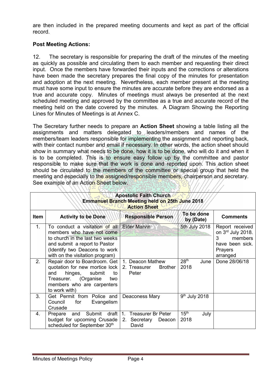are then included in the prepared meeting documents and kept as part of the official record.

#### **Post Meeting Actions:**

12. The secretary is responsible for preparing the draft of the minutes of the meeting as quickly as possible and circulating them to each member and requesting their direct input. Once the members have forwarded their inputs and the corrections or alterations have been made the secretary prepares the final copy of the minutes for presentation and adoption at the next meeting. Nevertheless, each member present at the meeting must have some input to ensure the minutes are accurate before they are endorsed as a true and accurate copy. Minutes of meetings must always be presented at the next scheduled meeting and approved by the committee as a true and accurate record of the meeting held on the date covered by the minutes. A Diagram Showing the Reporting Lines for Minutes of Meetings is at Annex C.

The Secretary further needs to prepare an **Action Sheet** showing a table listing all the assignments and matters delegated to leaders/members and names of the members/team leaders responsible for implementing the assignment and reporting back, with their contact number and email if necessary. In other words, the action sheet should show in summary what needs to be done, how it is to be done, who will do it and when it is to be completed. This is to ensure easy follow up by the committee and pastor responsible to make sure that the work is done and reported upon. This action sheet should be circulated to the members of the committee or special group that held the meeting and especially to the assigned/responsible members, chairperson and secretary. See example of an Action Sheet below.

| <b>Apostolic Faith Church</b><br>Emmanuel Branch Meeting held on 25th June 2018<br><b>Action Sheet</b> |                                                                                                                                                                                                                    |                                                                       |                                  |                                                                                                |  |  |  |
|--------------------------------------------------------------------------------------------------------|--------------------------------------------------------------------------------------------------------------------------------------------------------------------------------------------------------------------|-----------------------------------------------------------------------|----------------------------------|------------------------------------------------------------------------------------------------|--|--|--|
| Item                                                                                                   | <b>Activity to be Done</b>                                                                                                                                                                                         | <b>Responsible Person</b>                                             | To be done<br>by (Date)          | <b>Comments</b>                                                                                |  |  |  |
| 1.                                                                                                     | To conduct a visitation of all<br>members who have not come<br>to church in the last two weeks<br>and submit a report to Pastor<br>(Identify two Deacons to work<br>with on the visitation program)                | <b>Elder Marvin</b>                                                   | 5th July 2018                    | Report received<br>on 3rd July 2018.<br>members<br>3<br>have been sick.<br>Prayers<br>arranged |  |  |  |
| 2.                                                                                                     | Repair door to Boardroom. Get   1. Deacon Mathew<br>quotation for new mortice lock 2. Treasurer<br>hinges,<br>submit<br>and<br>to<br>(Organise<br>Treasurer.<br>two<br>members who are carpenters<br>to work with) | <b>Brother</b><br>Peter                                               | 28 <sup>th</sup><br>June<br>2018 | Done 28/06/18                                                                                  |  |  |  |
| 3.                                                                                                     | Get Permit from Police and<br>for<br>Council<br>Evangelism<br>Crusade                                                                                                                                              | Deaconess Mary                                                        | 9 <sup>th</sup> July 2018        |                                                                                                |  |  |  |
| 4.                                                                                                     | and<br>Prepare<br>budget for upcoming Crusade<br>scheduled for September 30th                                                                                                                                      | Submit draft 1. Treasurer Br Peter<br>2. Secretary<br>Deacon<br>David | 15 <sup>th</sup><br>July<br>2018 |                                                                                                |  |  |  |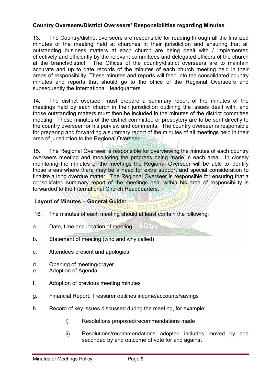#### **Country Overseers/District Overseers' Responsibilities regarding Minutes**

13. The Country/district overseers are responsible for reading through all the finalized minutes of the meeting held at churches in their jurisdiction and ensuring that all outstanding business matters at each church are being dealt with / implemented effectively and efficiently by the relevant committees and delegated officers of the church at the branch/district. The Offices of the country/district overseers are to maintain accurate and up to date records of the minutes of each church meeting held in their areas of responsibility. These minutes and reports will feed into the consolidated country minutes and reports that should go to the office of the Regional Overseers and subsequently the International Headquarters.

14. The district overseer must prepare a summary report of the minutes of the meetings held by each church in their jurisdiction outlining the issues dealt with, and those outstanding matters must then be included in the minutes of the district committee meeting. These minutes of the district committee or presbytery are to be sent directly to the country overseer for his purview and comments. The country overseer is responsible for preparing and forwarding a summary report of the minutes of all meetings held in their area of jurisdiction to the Regional Overseer.

15. The Regional Overseer is responsible for overviewing the minutes of each country overseers meeting and monitoring the progress being made in each area. In closely monitoring the minutes of the meetings the Regional Overseer will be able to identify those areas where there may be a need for extra support and special consideration to finalize a long overdue matter. The Regional Overseer is responsible for ensuring that a consolidated summary report of the meetings held within his area of responsibility is forwarded to the International Church Headquarters.

50 P.

# **Layout of Minutes – General Guide:**

- 16. The minutes of each meeting should at least contain the following:
- a. Date, time and location of meeting
- b. Statement of meeting (who and why called)
- c. Attendees present and apologies
- d. Opening of meeting/prayer
- e. Adoption of Agenda
- f. Adoption of previous meeting minutes
- g. Financial Report: Treasurer outlines income/accounts/savings
- h. Record of key issues discussed during the meeting, for example:
	- i) Resolutions proposed/recommendations made
	- ii) Resolutions/recommendations adopted includes moved by and seconded by and outcome of vote for and against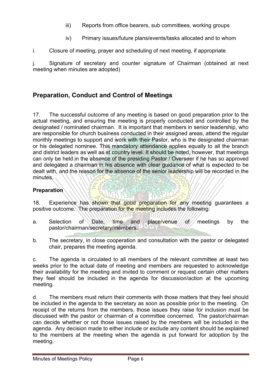- iii) Reports from office bearers, sub committees, working groups
- iv) Primary issues/future plans/events/tasks allocated and to whom
- i. Closure of meeting, prayer and scheduling of next meeting, if appropriate

j. Signature of secretary and counter signature of Chairman (obtained at next meeting when minutes are adopted)

# **Preparation, Conduct and Control of Meetings**

17. The successful outcome of any meeting is based on good preparation prior to the actual meeting, and ensuring the meeting is properly conducted and controlled by the designated / nominated chairman. It is important that members in senior leadership, who are responsible for church business conducted in their assigned areas, attend the regular monthly meetings to support and work with their Pastor, who is the designated chairman or his delegated nominee. This mandatory attendance applies equally to all the branch and district leaders as well as at country level. It should be noted, however, that meetings can only be held in the absence of the presiding Pastor / Overseer if he has so approved and delegated a chairman in his absence with clear guidance of what is expected to be dealt with, and the reason for the absence of the senior leadership will be recorded in the minutes.

# **Preparation**

18. Experience has shown that good preparation for any meeting guarantees a positive outcome. The preparation for the meeting includes the following:

- a. Selection of Date, time and place/venue of meetings by the pastor/chairman/secretary/members.
- b. The secretary, in close cooperation and consultation with the pastor or delegated chair, prepares the meeting agenda.

c. The agenda is circulated to all members of the relevant committee at least two weeks prior to the actual date of meeting and members are requested to acknowledge their availability for the meeting and invited to comment or request certain other matters they feel should be included in the agenda for discussion/action at the upcoming meeting.

d. The members must return their comments with those matters that they feel should be included in the agenda to the secretary as soon as possible prior to the meeting. On receipt of the returns from the members, those issues they raise for inclusion must be discussed with the pastor or chairman of a committee concerned. The pastor/chairman can decide whether or not those issues raised by the members will be included in the agenda. Any decision made to either include or exclude any content should be explained to the members at the meeting when the agenda is put forward for adoption by the meeting.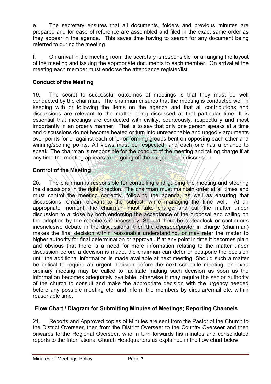e. The secretary ensures that all documents, folders and previous minutes are prepared and for ease of reference are assembled and filed in the exact same order as they appear in the agenda. This saves time having to search for any document being referred to during the meeting.

f. On arrival in the meeting room the secretary is responsible for arranging the layout of the meeting and issuing the appropriate documents to each member. On arrival at the meeting each member must endorse the attendance register/list.

#### **Conduct of the Meeting**

19. The secret to successful outcomes at meetings is that they must be well conducted by the chairman. The chairman ensures that the meeting is conducted well in keeping with or following the items on the agenda and that all contributions and discussions are relevant to the matter being discussed at that particular time. It is essential that meetings are conducted with civility, courteously, respectfully and most importantly in an orderly manner. That is to say that only one person speaks at a time and discussions do not become heated or turn into unreasonable and ungodly arguments over points for or against each other or forming groups bent on opposing each other and winning/scoring points. All views must be respected, and each one has a chance to speak. The chairman is responsible for the conduct of the meeting and taking charge if at any time the meeting appears to be going off the subject under discussion.

### **Control of the Meeting**

20. The chairman is responsible for controlling and guiding the meeting and steering the discussions in the right direction. The chairman must maintain order at all times and must control the meeting correctly, following the agenda, as well as ensuring that discussions remain relevant to the subject, while managing the time well. At an appropriate moment, the chairman must take charge and call the matter under discussion to a close by both endorsing the acceptance of the proposal and calling on the adoption by the members if necessary. Should there be a deadlock or continuous inconclusive debate in the discussions, then the overseer/pastor in charge (chairman) makes the final decision within reasonable understanding, or may refer the matter to higher authority for final determination or approval. If at any point in time it becomes plain and obvious that there is a need for more information relating to the matter under discussion before a decision is made, the chairman can defer or postpone the decision until the additional information is made available at next meeting. Should such a matter be critical to require an urgent decision before the next schedule meeting, an extra ordinary meeting may be called to facilitate making such decision as soon as the information becomes adequately available, otherwise it may require the senior authority of the church to consult and make the appropriate decision with the urgency needed before any possible meeting etc. and inform the members by circular/email etc. within reasonable time.

#### **Flow Chart / Diagram for Submitting Minutes of Meetings; Reporting Channels**

21. Reports and Approved copies of Minutes are sent from the Pastor of the Church to the District Overseer, then from the District Overseer to the Country Overseer and then onwards to the Regional Overseer, who in turn forwards his minutes and consolidated reports to the International Church Headquarters as explained in the flow chart below.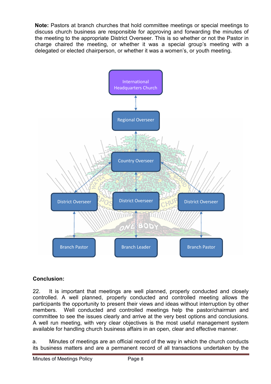**Note:** Pastors at branch churches that hold committee meetings or special meetings to discuss church business are responsible for approving and forwarding the minutes of the meeting to the appropriate District Overseer. This is so whether or not the Pastor in charge chaired the meeting, or whether it was a special group's meeting with a delegated or elected chairperson, or whether it was a women's, or youth meeting.



# **Conclusion:**

22. It is important that meetings are well planned, properly conducted and closely controlled. A well planned, properly conducted and controlled meeting allows the participants the opportunity to present their views and ideas without interruption by other members. Well conducted and controlled meetings help the pastor/chairman and committee to see the issues clearly and arrive at the very best options and conclusions. A well run meeting, with very clear objectives is the most useful management system available for handling church business affairs in an open, clear and effective manner.

a. Minutes of meetings are an official record of the way in which the church conducts its business matters and are a permanent record of all transactions undertaken by the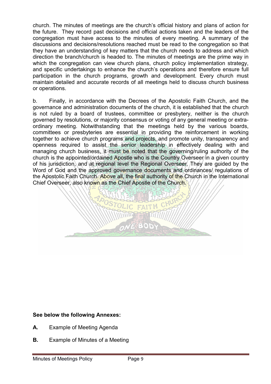church. The minutes of meetings are the church's official history and plans of action for the future. They record past decisions and official actions taken and the leaders of the congregation must have access to the minutes of every meeting. A summary of the discussions and decisions/resolutions reached must be read to the congregation so that they have an understanding of key matters that the church needs to address and which direction the branch/church is headed to. The minutes of meetings are the prime way in which the congregation can view church plans, church policy implementation strategy, and specific undertakings to enhance the church's operations and therefore ensure full participation in the church programs, growth and development. Every church must maintain detailed and accurate records of all meetings held to discuss church business or operations.

b. Finally, in accordance with the Decrees of the Apostolic Faith Church, and the governance and administration documents of the church, it is established that the church is not ruled by a board of trustees, committee or presbytery, neither is the church governed by resolutions, or majority consensus or voting of any general meeting or extraordinary meeting. Notwithstanding that the meetings held by the various boards, committees or presbyteries are essential in providing the reinforcement in working together to achieve church programs and projects, and promote unity, transparency and openness required to assist the senior leadership in effectively dealing with and managing church business, it must be noted that the governing/ruling authority of the church is the appointed/ordained Apostle who is the Country Overseer in a given country of his jurisdiction, and at regional level the Regional Overseer. They are guided by the Word of God and the approved governance documents and ordinances/ regulations of the Apostolic Faith Church. Above all, the final authority of the Church in the International Chief Overseer, also known as the Chief Apostle of the Church.



#### **See below the following Annexes:**

- **A.** Example of Meeting Agenda
- **B.** Example of Minutes of a Meeting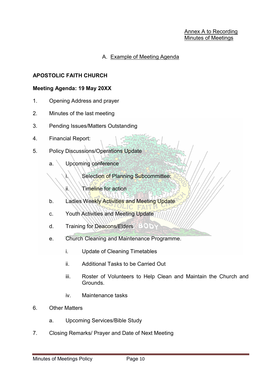#### A. Example of Meeting Agenda

#### **APOSTOLIC FAITH CHURCH**

#### **Meeting Agenda: 19 May 20XX**

- 1. Opening Address and prayer
- 2. Minutes of the last meeting
- 3. Pending Issues/Matters Outstanding
- 4. Financial Report:
- 5. Policy Discussions/Operations Update
	- a. Upcoming conference
		- i. Selection of Planning Subcommittee:

JC FAN

- ii. Timeline for action
- b. Ladies Weekly Activities and Meeting Update
- c. Youth Activities and Meeting Update
- d. Training for Deacons/Elders BODY
- e. Church Cleaning and Maintenance Programme.
	- i. Update of Cleaning Timetables
	- ii. Additional Tasks to be Carried Out
	- iii. Roster of Volunteers to Help Clean and Maintain the Church and Grounds.
	- iv. Maintenance tasks
- 6. Other Matters
	- a. Upcoming Services/Bible Study
- 7. Closing Remarks/ Prayer and Date of Next Meeting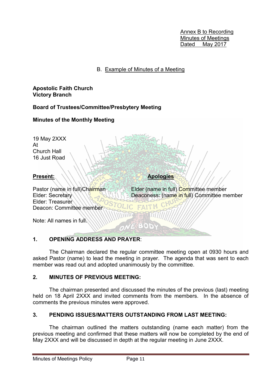Annex B to Recording Minutes of Meetings Dated May 2017

#### B. Example of Minutes of a Meeting

**Apostolic Faith Church Victory Branch**

**Board of Trustees/Committee/Presbytery Meeting**

### **Minutes of the Monthly Meeting**

19 May 2XXX At Church Hall 16 Just Road

Present: **And Apologies** 

Pastor (name in full) Chairman Elder (name in full) Committee member Elder: Secretary **Deaconess:** (name in full) Committee member Elder: Treasurer Deacon: Committee member

Note: All names in full.

### **1. OPENING ADDRESS AND PRAYER**:

 The Chairman declared the regular committee meeting open at 0930 hours and asked Pastor (name) to lead the meeting in prayer. The agenda that was sent to each member was read out and adopted unanimously by the committee.

**BOD:** 

#### **2. MINUTES OF PREVIOUS MEETING:**

 The chairman presented and discussed the minutes of the previous (last) meeting held on 18 April 2XXX and invited comments from the members. In the absence of comments the previous minutes were approved.

### **3. PENDING ISSUES/MATTERS OUTSTANDING FROM LAST MEETING:**

 The chairman outlined the matters outstanding (name each matter) from the previous meeting and confirmed that these matters will now be completed by the end of May 2XXX and will be discussed in depth at the regular meeting in June 2XXX.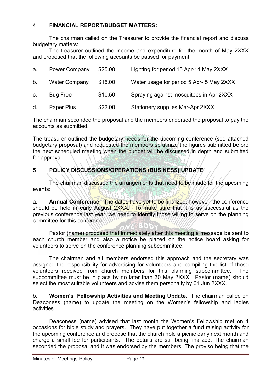#### **4 FINANCIAL REPORT/BUDGET MATTERS:**

 The chairman called on the Treasurer to provide the financial report and discuss budgetary matters:

 The treasurer outlined the income and expenditure for the month of May 2XXX and proposed that the following accounts be passed for payment;

| a.          | <b>Power Company</b> | \$25.00 | Lighting for period 15 Apr-14 May 2XXX   |
|-------------|----------------------|---------|------------------------------------------|
| b.          | <b>Water Company</b> | \$15.00 | Water usage for period 5 Apr- 5 May 2XXX |
| $C_{\cdot}$ | <b>Bug Free</b>      | \$10.50 | Spraying against mosquitoes in Apr 2XXX  |
| d.          | Paper Plus           | \$22.00 | <b>Stationery supplies Mar-Apr 2XXX</b>  |

The chairman seconded the proposal and the members endorsed the proposal to pay the accounts as submitted.

The treasurer outlined the budgetary needs for the upcoming conference (see attached budgetary proposal) and requested the members scrutinize the figures submitted before the next scheduled meeting when the budget will be discussed in depth and submitted for approval.

# **5 POLICY DISCUSSIONS/OPERATIONS (BUSINESS) UPDATE**

 The chairman discussed the arrangements that need to be made for the upcoming events:

a. **Annual Conference.** The dates have yet to be finalized, however, the conference should be held in early August 2XXX. To make sure that it is as successful as the previous conference last year, we need to identify those willing to serve on the planning committee for this conference.

 Pastor (name) proposed that immediately after this meeting a message be sent to each church member and also a notice be placed on the notice board asking for volunteers to serve on the conference planning subcommittee.

 The chairman and all members endorsed this approach and the secretary was assigned the responsibility for advertising for volunteers and compiling the list of those volunteers received from church members for this planning subcommittee. The subcommittee must be in place by no later than 30 May 2XXX. Pastor (name) should select the most suitable volunteers and advise them personally by 01 Jun 2XXX.

b. **Women's Fellowship Activities and Meeting Update.** The chairman called on Deaconess (name) to update the meeting on the Women's fellowship and ladies activities.

 Deaconess (name) advised that last month the Women's Fellowship met on 4 occasions for bible study and prayers. They have put together a fund raising activity for the upcoming conference and propose that the church hold a picnic early next month and charge a small fee for participants. The details are still being finalized. The chairman seconded the proposal and it was endorsed by the members. The proviso being that the